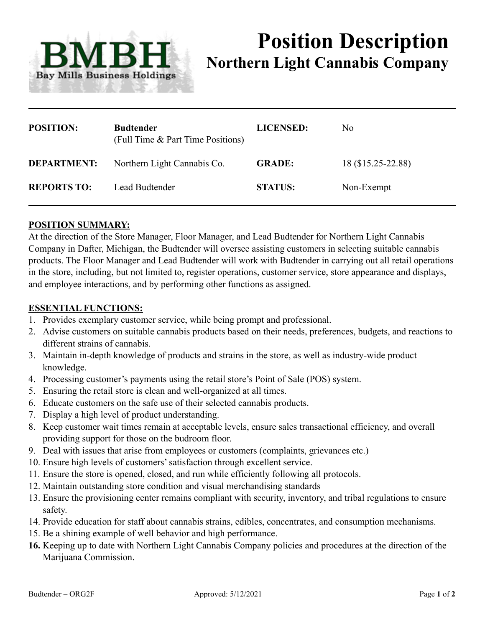

# **Position Description Northern Light Cannabis Company**

| <b>POSITION:</b>   | <b>Budtender</b><br>(Full Time & Part Time Positions) | <b>LICENSED:</b> | No.                |
|--------------------|-------------------------------------------------------|------------------|--------------------|
| <b>DEPARTMENT:</b> | Northern Light Cannabis Co.                           | <b>GRADE:</b>    | 18 (\$15.25-22.88) |
| <b>REPORTS TO:</b> | Lead Budtender                                        | <b>STATUS:</b>   | Non-Exempt         |

## **POSITION SUMMARY:**

At the direction of the Store Manager, Floor Manager, and Lead Budtender for Northern Light Cannabis Company in Dafter, Michigan, the Budtender will oversee assisting customers in selecting suitable cannabis products. The Floor Manager and Lead Budtender will work with Budtender in carrying out all retail operations in the store, including, but not limited to, register operations, customer service, store appearance and displays, and employee interactions, and by performing other functions as assigned.

#### **ESSENTIAL FUNCTIONS:**

- 1. Provides exemplary customer service, while being prompt and professional.
- 2. Advise customers on suitable cannabis products based on their needs, preferences, budgets, and reactions to different strains of cannabis.
- 3. Maintain in-depth knowledge of products and strains in the store, as well as industry-wide product knowledge.
- 4. Processing customer's payments using the retail store's Point of Sale (POS) system.
- 5. Ensuring the retail store is clean and well-organized at all times.
- 6. Educate customers on the safe use of their selected cannabis products.
- 7. Display a high level of product understanding.
- 8. Keep customer wait times remain at acceptable levels, ensure sales transactional efficiency, and overall providing support for those on the budroom floor.
- 9. Deal with issues that arise from employees or customers (complaints, grievances etc.)
- 10. Ensure high levels of customers' satisfaction through excellent service.
- 11. Ensure the store is opened, closed, and run while efficiently following all protocols.
- 12. Maintain outstanding store condition and visual merchandising standards
- 13. Ensure the provisioning center remains compliant with security, inventory, and tribal regulations to ensure safety.
- 14. Provide education for staff about cannabis strains, edibles, concentrates, and consumption mechanisms.
- 15. Be a shining example of well behavior and high performance.
- **16.** Keeping up to date with Northern Light Cannabis Company policies and procedures at the direction of the Marijuana Commission.